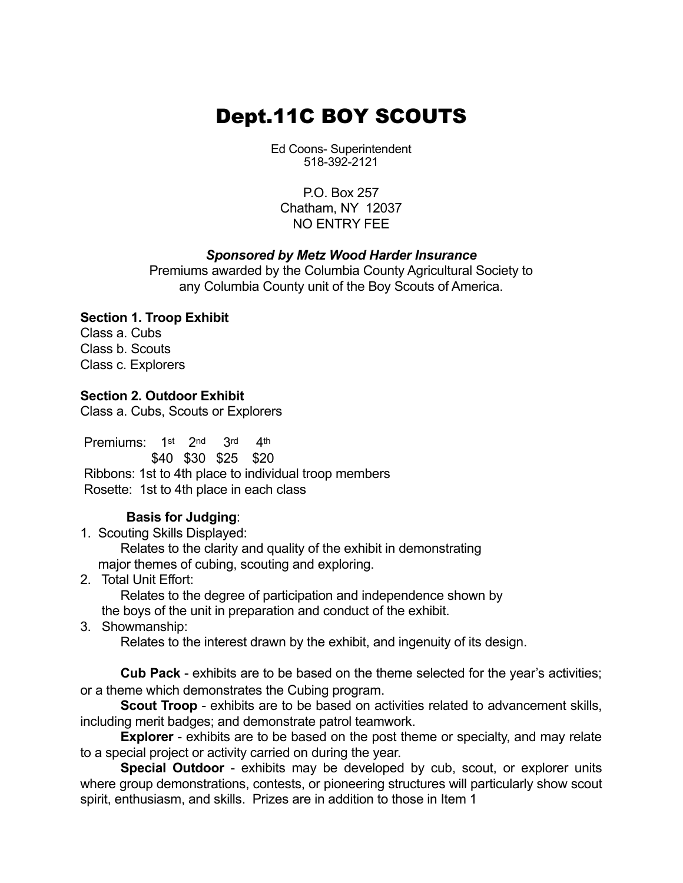## Dept.11C BOY SCOUTS

Ed Coons-Superintendent 518-392-2121

P.O. Box 257 Chatham, NY 12037 NO FNTRY FFF

#### **Sponsored by Metz Wood Harder Insurance**

Premiums awarded by the Columbia County Agricultural Society to any Columbia County unit of the Boy Scouts of America.

### **Section 1. Troop Exhibit**

Class a. Cubs Class b. Scouts Class c. Explorers

**Section 2. Outdoor Exhibit**

Class a. Cubs, Scouts or Explorers

Premiums: 1st 2nd 3rd 4th

\$40 \$30 \$25 \$20 Ribbons: 1st to 4th place to individual troop members Rosette: 1st to 4th place in each class

### **Basis for Judging**:

1. Scouting Skills Displayed:

Relates to the clarity and quality of the exhibit in demonstrating major themes of cubing, scouting and exploring.

2. Total Unit Effort:

Relates to the degree of participation and independence shown by

the boys of the unit in preparation and conduct of the exhibit.

3. Showmanship:

Relates to the interest drawn by the exhibit, and ingenuity of its design.

**Cub Pack** - exhibits are to be based on the theme selected for the year's activities; or a theme which demonstrates the Cubing program.

**Scout Troop** - exhibits are to be based on activities related to advancement skills, including merit badges; and demonstrate patrol teamwork.

**Explorer** - exhibits are to be based on the post theme or specialty, and may relate to a special project or activity carried on during the year.

**Special Outdoor** - exhibits may be developed by cub, scout, or explorer units where group demonstrations, contests, or pioneering structures will particularly show scout spirit, enthusiasm, and skills. Prizes are in addition to those in Item 1